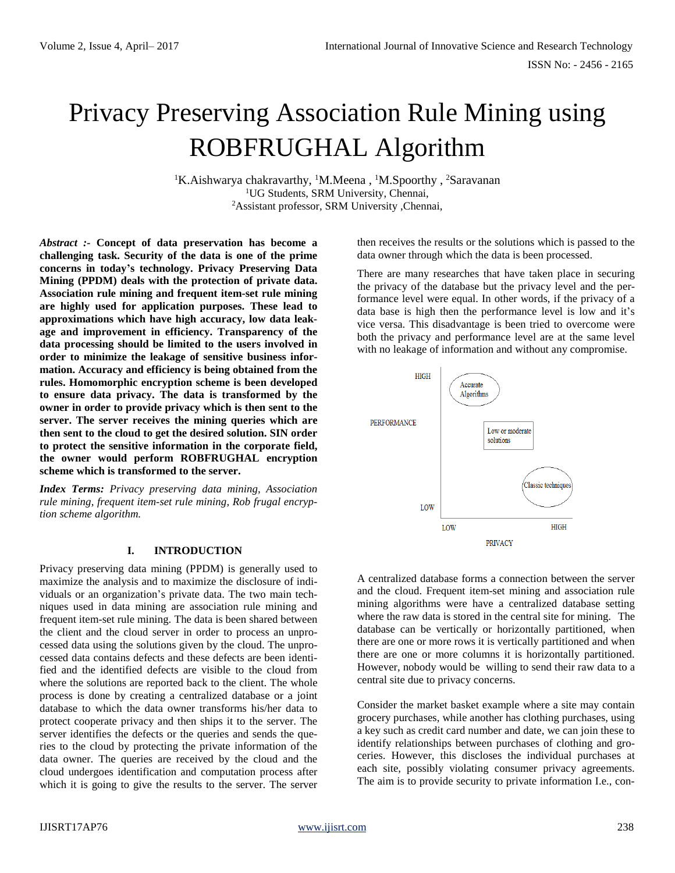# Privacy Preserving Association Rule Mining using ROBFRUGHAL Algorithm

<sup>1</sup>K.Aishwarya chakravarthy, <sup>1</sup>M.Meena, <sup>1</sup>M.Spoorthy, <sup>2</sup>Saravanan <sup>1</sup>UG Students, SRM University, Chennai, <sup>2</sup>Assistant professor, SRM University ,Chennai,

*Abstract :-* **Concept of data preservation has become a challenging task. Security of the data is one of the prime concerns in today's technology. Privacy Preserving Data Mining (PPDM) deals with the protection of private data. Association rule mining and frequent item-set rule mining are highly used for application purposes. These lead to approximations which have high accuracy, low data leakage and improvement in efficiency. Transparency of the data processing should be limited to the users involved in order to minimize the leakage of sensitive business information. Accuracy and efficiency is being obtained from the rules. Homomorphic encryption scheme is been developed to ensure data privacy. The data is transformed by the owner in order to provide privacy which is then sent to the server. The server receives the mining queries which are then sent to the cloud to get the desired solution. SIN order to protect the sensitive information in the corporate field, the owner would perform ROBFRUGHAL encryption scheme which is transformed to the server.**

*Index Terms: Privacy preserving data mining, Association rule mining, frequent item-set rule mining, Rob frugal encryption scheme algorithm.*

## **I. INTRODUCTION**

Privacy preserving data mining (PPDM) is generally used to maximize the analysis and to maximize the disclosure of individuals or an organization's private data. The two main techniques used in data mining are association rule mining and frequent item-set rule mining. The data is been shared between the client and the cloud server in order to process an unprocessed data using the solutions given by the cloud. The unprocessed data contains defects and these defects are been identified and the identified defects are visible to the cloud from where the solutions are reported back to the client. The whole process is done by creating a centralized database or a joint database to which the data owner transforms his/her data to protect cooperate privacy and then ships it to the server. The server identifies the defects or the queries and sends the queries to the cloud by protecting the private information of the data owner. The queries are received by the cloud and the cloud undergoes identification and computation process after which it is going to give the results to the server. The server then receives the results or the solutions which is passed to the data owner through which the data is been processed.

There are many researches that have taken place in securing the privacy of the database but the privacy level and the performance level were equal. In other words, if the privacy of a data base is high then the performance level is low and it's vice versa. This disadvantage is been tried to overcome were both the privacy and performance level are at the same level with no leakage of information and without any compromise.



A centralized database forms a connection between the server and the cloud. Frequent item-set mining and association rule mining algorithms were have a centralized database setting where the raw data is stored in the central site for mining. The database can be vertically or horizontally partitioned, when there are one or more rows it is vertically partitioned and when there are one or more columns it is horizontally partitioned. However, nobody would be willing to send their raw data to a central site due to privacy concerns.

Consider the market basket example where a site may contain grocery purchases, while another has clothing purchases, using a key such as credit card number and date, we can join these to identify relationships between purchases of clothing and groceries. However, this discloses the individual purchases at each site, possibly violating consumer privacy agreements. The aim is to provide security to private information I.e., con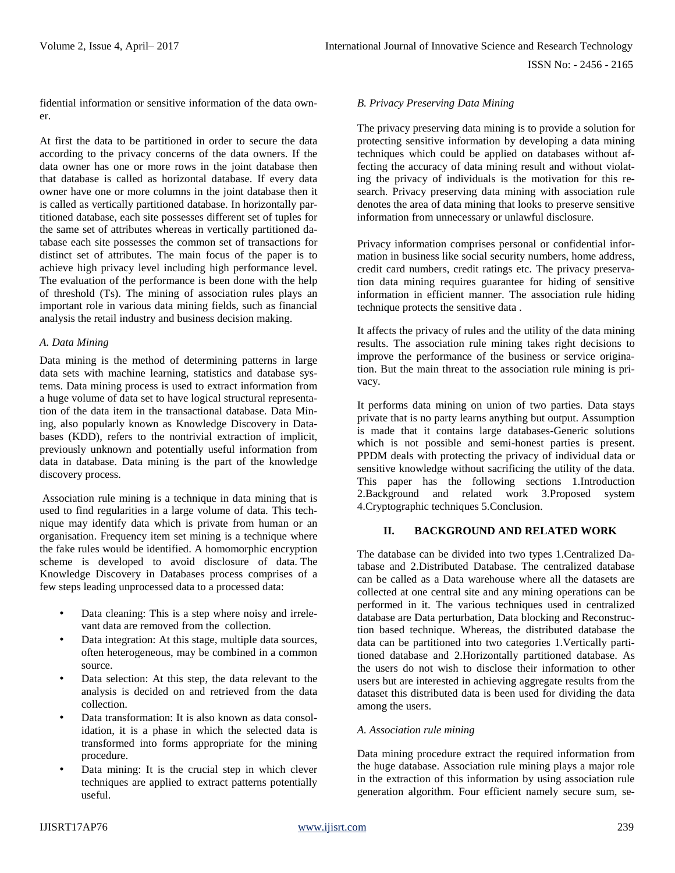fidential information or sensitive information of the data owner.

At first the data to be partitioned in order to secure the data according to the privacy concerns of the data owners. If the data owner has one or more rows in the joint database then that database is called as horizontal database. If every data owner have one or more columns in the joint database then it is called as vertically partitioned database. In horizontally partitioned database, each site possesses different set of tuples for the same set of attributes whereas in vertically partitioned database each site possesses the common set of transactions for distinct set of attributes. The main focus of the paper is to achieve high privacy level including high performance level. The evaluation of the performance is been done with the help of threshold (Ts). The mining of association rules plays an important role in various data mining fields, such as financial analysis the retail industry and business decision making.

# *A. Data Mining*

Data mining is the method of determining patterns in large data sets with machine learning, statistics and database systems. Data mining process is used to extract information from a huge volume of data set to have logical structural representation of the data item in the transactional database. Data Mining, also popularly known as Knowledge Discovery in Databases (KDD), refers to the nontrivial extraction of implicit, previously unknown and potentially useful information from data in database. Data mining is the part of the knowledge discovery process.

Association rule mining is a technique in data mining that is used to find regularities in a large volume of data. This technique may identify data which is private from human or an organisation. Frequency item set mining is a technique where the fake rules would be identified. A homomorphic encryption scheme is developed to avoid disclosure of data. The Knowledge Discovery in Databases process comprises of a few steps leading unprocessed data to a processed data:

- Data cleaning: This is a step where noisy and irrelevant data are removed from the collection.
- Data integration: At this stage, multiple data sources, often heterogeneous, may be combined in a common source.
- Data selection: At this step, the data relevant to the analysis is decided on and retrieved from the data collection.
- Data transformation: It is also known as data consolidation, it is a phase in which the selected data is transformed into forms appropriate for the mining procedure.
- Data mining: It is the crucial step in which clever techniques are applied to extract patterns potentially useful.

## *B. Privacy Preserving Data Mining*

The privacy preserving data mining is to provide a solution for protecting sensitive information by developing a data mining techniques which could be applied on databases without affecting the accuracy of data mining result and without violating the privacy of individuals is the motivation for this research. Privacy preserving data mining with association rule denotes the area of data mining that looks to preserve sensitive information from unnecessary or unlawful disclosure.

Privacy information comprises personal or confidential information in business like social security numbers, home address, credit card numbers, credit ratings etc. The privacy preservation data mining requires guarantee for hiding of sensitive information in efficient manner. The association rule hiding technique protects the sensitive data .

It affects the privacy of rules and the utility of the data mining results. The association rule mining takes right decisions to improve the performance of the business or service origination. But the main threat to the association rule mining is privacy.

It performs data mining on union of two parties. Data stays private that is no party learns anything but output. Assumption is made that it contains large databases-Generic solutions which is not possible and semi-honest parties is present. PPDM deals with protecting the privacy of individual data or sensitive knowledge without sacrificing the utility of the data. This paper has the following sections 1.Introduction 2.Background and related work 3.Proposed system 4.Cryptographic techniques 5.Conclusion.

#### **II. BACKGROUND AND RELATED WORK**

The database can be divided into two types 1.Centralized Database and 2.Distributed Database. The centralized database can be called as a Data warehouse where all the datasets are collected at one central site and any mining operations can be performed in it. The various techniques used in centralized database are Data perturbation, Data blocking and Reconstruction based technique. Whereas, the distributed database the data can be partitioned into two categories 1.Vertically partitioned database and 2.Horizontally partitioned database. As the users do not wish to disclose their information to other users but are interested in achieving aggregate results from the dataset this distributed data is been used for dividing the data among the users.

#### *A. Association rule mining*

Data mining procedure extract the required information from the huge database. Association rule mining plays a major role in the extraction of this information by using association rule generation algorithm. Four efficient namely secure sum, se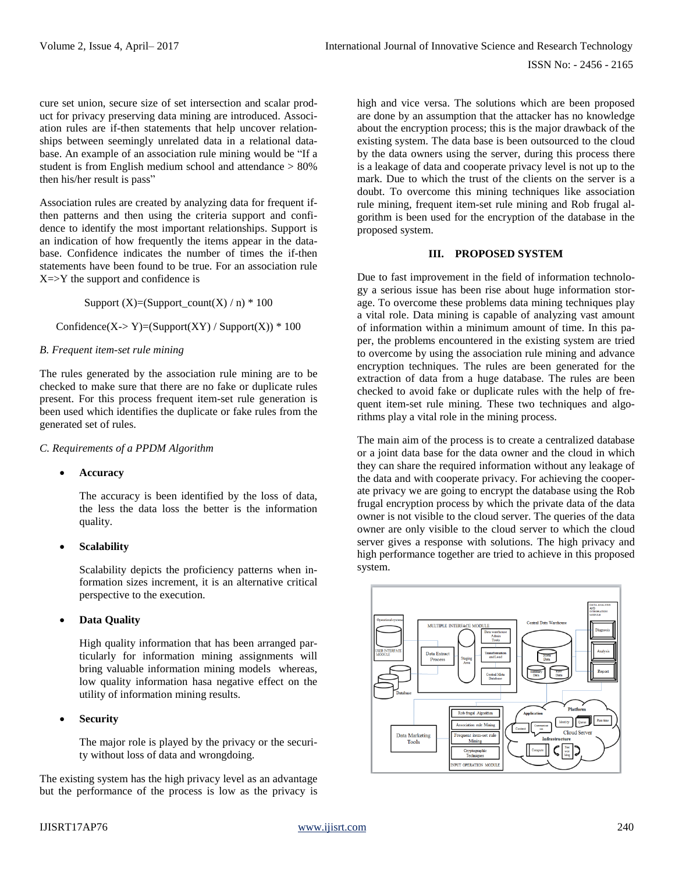cure set union, secure size of set intersection and scalar product for privacy preserving data mining are introduced. Association rules are if-then statements that help uncover relationships between seemingly unrelated data in a relational database. An example of an association rule mining would be "If a student is from English medium school and attendance > 80% then his/her result is pass"

Association rules are created by analyzing data for frequent ifthen patterns and then using the criteria support and confidence to identify the most important relationships. Support is an indication of how frequently the items appear in the database. Confidence indicates the number of times the if-then statements have been found to be true. For an association rule  $X \Rightarrow Y$  the support and confidence is

Support  $(X) = (Support\_count(X) / n) * 100$ 

 $Confidence(X \rightarrow Y) = (Support(XY) / Support(X)) * 100$ 

## *B. Frequent item-set rule mining*

The rules generated by the association rule mining are to be checked to make sure that there are no fake or duplicate rules present. For this process frequent item-set rule generation is been used which identifies the duplicate or fake rules from the generated set of rules.

#### *C. Requirements of a PPDM Algorithm*

# • **Accuracy**

The accuracy is been identified by the loss of data, the less the data loss the better is the information quality.

# • **Scalability**

Scalability depicts the proficiency patterns when information sizes increment, it is an alternative critical perspective to the execution.

# • **Data Quality**

High quality information that has been arranged particularly for information mining assignments will bring valuable information mining models whereas, low quality information hasa negative effect on the utility of information mining results.

# • **Security**

The major role is played by the privacy or the security without loss of data and wrongdoing.

The existing system has the high privacy level as an advantage but the performance of the process is low as the privacy is high and vice versa. The solutions which are been proposed are done by an assumption that the attacker has no knowledge about the encryption process; this is the major drawback of the existing system. The data base is been outsourced to the cloud by the data owners using the server, during this process there is a leakage of data and cooperate privacy level is not up to the mark. Due to which the trust of the clients on the server is a doubt. To overcome this mining techniques like association rule mining, frequent item-set rule mining and Rob frugal algorithm is been used for the encryption of the database in the proposed system.

## **III. PROPOSED SYSTEM**

Due to fast improvement in the field of information technology a serious issue has been rise about huge information storage. To overcome these problems data mining techniques play a vital role. Data mining is capable of analyzing vast amount of information within a minimum amount of time. In this paper, the problems encountered in the existing system are tried to overcome by using the association rule mining and advance encryption techniques. The rules are been generated for the extraction of data from a huge database. The rules are been checked to avoid fake or duplicate rules with the help of frequent item-set rule mining. These two techniques and algorithms play a vital role in the mining process.

The main aim of the process is to create a centralized database or a joint data base for the data owner and the cloud in which they can share the required information without any leakage of the data and with cooperate privacy. For achieving the cooperate privacy we are going to encrypt the database using the Rob frugal encryption process by which the private data of the data owner is not visible to the cloud server. The queries of the data owner are only visible to the cloud server to which the cloud server gives a response with solutions. The high privacy and high performance together are tried to achieve in this proposed system.

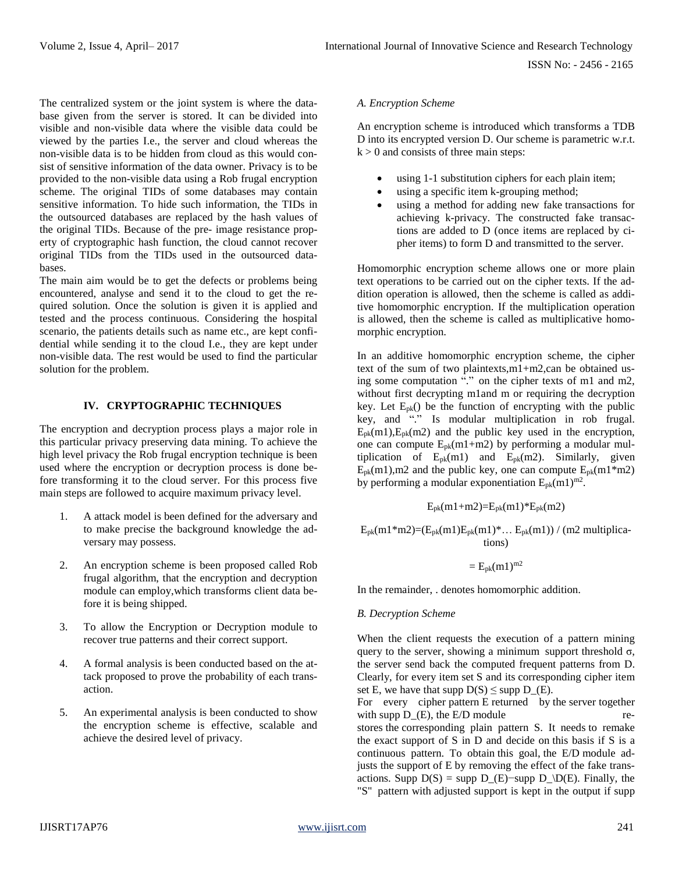The centralized system or the joint system is where the database given from the server is stored. It can be divided into visible and non-visible data where the visible data could be viewed by the parties I.e., the server and cloud whereas the non-visible data is to be hidden from cloud as this would consist of sensitive information of the data owner. Privacy is to be provided to the non-visible data using a Rob frugal encryption scheme. The original TIDs of some databases may contain sensitive information. To hide such information, the TIDs in the outsourced databases are replaced by the hash values of the original TIDs. Because of the pre- image resistance property of cryptographic hash function, the cloud cannot recover original TIDs from the TIDs used in the outsourced databases.

The main aim would be to get the defects or problems being encountered, analyse and send it to the cloud to get the required solution. Once the solution is given it is applied and tested and the process continuous. Considering the hospital scenario, the patients details such as name etc., are kept confidential while sending it to the cloud I.e., they are kept under non-visible data. The rest would be used to find the particular solution for the problem.

# **IV. CRYPTOGRAPHIC TECHNIQUES**

The encryption and decryption process plays a major role in this particular privacy preserving data mining. To achieve the high level privacy the Rob frugal encryption technique is been used where the encryption or decryption process is done before transforming it to the cloud server. For this process five main steps are followed to acquire maximum privacy level.

- 1. A attack model is been defined for the adversary and to make precise the background knowledge the adversary may possess.
- 2. An encryption scheme is been proposed called Rob frugal algorithm, that the encryption and decryption module can employ,which transforms client data before it is being shipped.
- 3. To allow the Encryption or Decryption module to recover true patterns and their correct support.
- 4. A formal analysis is been conducted based on the attack proposed to prove the probability of each transaction.
- 5. An experimental analysis is been conducted to show the encryption scheme is effective, scalable and achieve the desired level of privacy.

## *A. Encryption Scheme*

An encryption scheme is introduced which transforms a TDB D into its encrypted version D. Our scheme is parametric w.r.t.  $k > 0$  and consists of three main steps:

- using 1-1 substitution ciphers for each plain item;
- using a specific item k-grouping method;
- using a method for adding new fake transactions for achieving k-privacy. The constructed fake transactions are added to D (once items are replaced by cipher items) to form D and transmitted to the server.

Homomorphic encryption scheme allows one or more plain text operations to be carried out on the cipher texts. If the addition operation is allowed, then the scheme is called as additive homomorphic encryption. If the multiplication operation is allowed, then the scheme is called as multiplicative homomorphic encryption.

In an additive homomorphic encryption scheme, the cipher text of the sum of two plaintexts,m1+m2,can be obtained using some computation "." on the cipher texts of m1 and m2, without first decrypting m1and m or requiring the decryption key. Let  $E_{pk}$ () be the function of encrypting with the public key, and "." Is modular multiplication in rob frugal.  $E_{pk}(m1)$ , $E_{pk}(m2)$  and the public key used in the encryption, one can compute  $E_{pk}(m1+m2)$  by performing a modular multiplication of  $E_{pk}(m1)$  and  $E_{pk}(m2)$ . Similarly, given  $E_{pk}(m1)$ , m2 and the public key, one can compute  $E_{pk}(m1*m2)$ by performing a modular exponentiation  $E_{pk}(m1)^{m2}$ .

$$
E_{pk}(m1+m2)=E_{pk}(m1)*E_{pk}(m2)
$$

 $E_{pk}(m1*m2) = (E_{pk}(m1)E_{pk}(m1)*... E_{pk}(m1)) / (m2$  multiplications)

$$
=E_{\rm pk}(m1)^{m2}
$$

In the remainder, . denotes homomorphic addition.

#### *B. Decryption Scheme*

When the client requests the execution of a pattern mining query to the server, showing a minimum support threshold  $\sigma$ , the server send back the computed frequent patterns from D. Clearly, for every item set S and its corresponding cipher item set E, we have that supp  $D(S) \leq$  supp  $D_{(E)}$ .

For every cipher pattern E returned by the server together with supp  $D_{(E)}$ , the E/D module restores the corresponding plain pattern S. It needs to remake the exact support of S in D and decide on this basis if S is a continuous pattern. To obtain this goal, the E/D module adjusts the support of E by removing the effect of the fake transactions. Supp  $D(S)$  = supp  $D_{(E)-supp} D_{\Delta}(E)$ . Finally, the "S" pattern with adjusted support is kept in the output if supp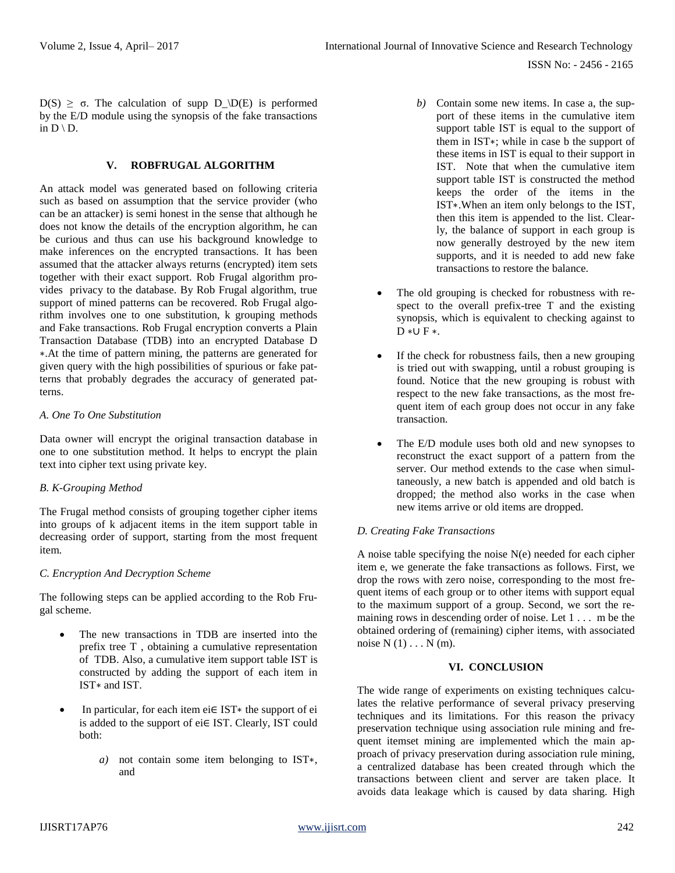D(S)  $\geq$  σ. The calculation of supp D\_\D(E) is performed by the E/D module using the synopsis of the fake transactions in  $D \setminus D$ .

# **V. ROBFRUGAL ALGORITHM**

An attack model was generated based on following criteria such as based on assumption that the service provider (who can be an attacker) is semi honest in the sense that although he does not know the details of the encryption algorithm, he can be curious and thus can use his background knowledge to make inferences on the encrypted transactions. It has been assumed that the attacker always returns (encrypted) item sets together with their exact support. Rob Frugal algorithm provides privacy to the database. By Rob Frugal algorithm, true support of mined patterns can be recovered. Rob Frugal algorithm involves one to one substitution, k grouping methods and Fake transactions. Rob Frugal encryption converts a Plain Transaction Database (TDB) into an encrypted Database D ∗.At the time of pattern mining, the patterns are generated for given query with the high possibilities of spurious or fake patterns that probably degrades the accuracy of generated patterns.

# *A. One To One Substitution*

Data owner will encrypt the original transaction database in one to one substitution method. It helps to encrypt the plain text into cipher text using private key.

# *B. K-Grouping Method*

The Frugal method consists of grouping together cipher items into groups of k adjacent items in the item support table in decreasing order of support, starting from the most frequent item.

# *C. Encryption And Decryption Scheme*

The following steps can be applied according to the Rob Frugal scheme.

- The new transactions in TDB are inserted into the prefix tree T , obtaining a cumulative representation of TDB. Also, a cumulative item support table IST is constructed by adding the support of each item in IST∗ and IST.
- In particular, for each item ei∈ IST∗ the support of ei is added to the support of ei∈ IST. Clearly, IST could both:
	- *a)* not contain some item belonging to IST∗, and
- *b)* Contain some new items. In case a, the support of these items in the cumulative item support table IST is equal to the support of them in IST∗; while in case b the support of these items in IST is equal to their support in IST. Note that when the cumulative item support table IST is constructed the method keeps the order of the items in the IST∗.When an item only belongs to the IST, then this item is appended to the list. Clearly, the balance of support in each group is now generally destroyed by the new item supports, and it is needed to add new fake transactions to restore the balance.
- The old grouping is checked for robustness with respect to the overall prefix-tree T and the existing synopsis, which is equivalent to checking against to D ∗∪ F ∗.
- If the check for robustness fails, then a new grouping is tried out with swapping, until a robust grouping is found. Notice that the new grouping is robust with respect to the new fake transactions, as the most frequent item of each group does not occur in any fake transaction.
- The E/D module uses both old and new synopses to reconstruct the exact support of a pattern from the server. Our method extends to the case when simultaneously, a new batch is appended and old batch is dropped; the method also works in the case when new items arrive or old items are dropped.

# *D. Creating Fake Transactions*

A noise table specifying the noise N(e) needed for each cipher item e, we generate the fake transactions as follows. First, we drop the rows with zero noise, corresponding to the most frequent items of each group or to other items with support equal to the maximum support of a group. Second, we sort the remaining rows in descending order of noise. Let 1 . . . m be the obtained ordering of (remaining) cipher items, with associated noise  $N(1) \ldots N(m)$ .

# **VI. CONCLUSION**

The wide range of experiments on existing techniques calculates the relative performance of several privacy preserving techniques and its limitations. For this reason the privacy preservation technique using association rule mining and frequent itemset mining are implemented which the main approach of privacy preservation during association rule mining, a centralized database has been created through which the transactions between client and server are taken place. It avoids data leakage which is caused by data sharing. High